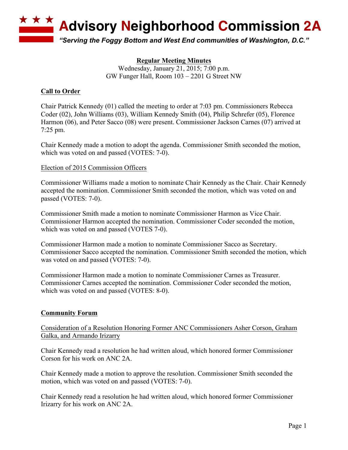

**Regular Meeting Minutes** Wednesday, January 21, 2015; 7:00 p.m. GW Funger Hall, Room 103 – 2201 G Street NW

# **Call to Order**

Chair Patrick Kennedy (01) called the meeting to order at 7:03 pm. Commissioners Rebecca Coder (02), John Williams (03), William Kennedy Smith (04), Philip Schrefer (05), Florence Harmon (06), and Peter Sacco (08) were present. Commissioner Jackson Carnes (07) arrived at 7:25 pm.

Chair Kennedy made a motion to adopt the agenda. Commissioner Smith seconded the motion, which was voted on and passed (VOTES: 7-0).

## Election of 2015 Commission Officers

Commissioner Williams made a motion to nominate Chair Kennedy as the Chair. Chair Kennedy accepted the nomination. Commissioner Smith seconded the motion, which was voted on and passed (VOTES: 7-0).

Commissioner Smith made a motion to nominate Commissioner Harmon as Vice Chair. Commissioner Harmon accepted the nomination. Commissioner Coder seconded the motion, which was voted on and passed (VOTES 7-0).

Commissioner Harmon made a motion to nominate Commissioner Sacco as Secretary. Commissioner Sacco accepted the nomination. Commissioner Smith seconded the motion, which was voted on and passed (VOTES: 7-0).

Commissioner Harmon made a motion to nominate Commissioner Carnes as Treasurer. Commissioner Carnes accepted the nomination. Commissioner Coder seconded the motion, which was voted on and passed (VOTES: 8-0).

# **Community Forum**

Consideration of a Resolution Honoring Former ANC Commissioners Asher Corson, Graham Galka, and Armando Irizarry

Chair Kennedy read a resolution he had written aloud, which honored former Commissioner Corson for his work on ANC 2A.

Chair Kennedy made a motion to approve the resolution. Commissioner Smith seconded the motion, which was voted on and passed (VOTES: 7-0).

Chair Kennedy read a resolution he had written aloud, which honored former Commissioner Irizarry for his work on ANC 2A.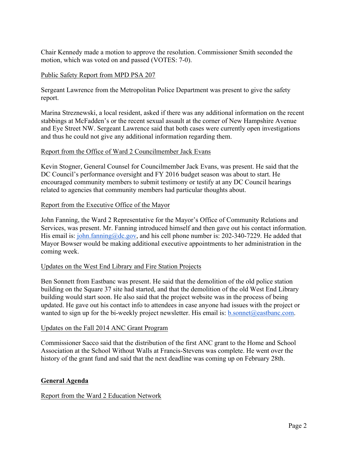Chair Kennedy made a motion to approve the resolution. Commissioner Smith seconded the motion, which was voted on and passed (VOTES: 7-0).

## Public Safety Report from MPD PSA 207

Sergeant Lawrence from the Metropolitan Police Department was present to give the safety report.

Marina Streznewski, a local resident, asked if there was any additional information on the recent stabbings at McFadden's or the recent sexual assault at the corner of New Hampshire Avenue and Eye Street NW. Sergeant Lawrence said that both cases were currently open investigations and thus he could not give any additional information regarding them.

## Report from the Office of Ward 2 Councilmember Jack Evans

Kevin Stogner, General Counsel for Councilmember Jack Evans, was present. He said that the DC Council's performance oversight and FY 2016 budget season was about to start. He encouraged community members to submit testimony or testify at any DC Council hearings related to agencies that community members had particular thoughts about.

## Report from the Executive Office of the Mayor

John Fanning, the Ward 2 Representative for the Mayor's Office of Community Relations and Services, was present. Mr. Fanning introduced himself and then gave out his contact information. His email is: john.fanning@dc.gov, and his cell phone number is: 202-340-7229. He added that Mayor Bowser would be making additional executive appointments to her administration in the coming week.

### Updates on the West End Library and Fire Station Projects

Ben Sonnett from Eastbanc was present. He said that the demolition of the old police station building on the Square 37 site had started, and that the demolition of the old West End Library building would start soon. He also said that the project website was in the process of being updated. He gave out his contact info to attendees in case anyone had issues with the project or wanted to sign up for the bi-weekly project newsletter. His email is: b.sonnet@eastbanc.com.

### Updates on the Fall 2014 ANC Grant Program

Commissioner Sacco said that the distribution of the first ANC grant to the Home and School Association at the School Without Walls at Francis-Stevens was complete. He went over the history of the grant fund and said that the next deadline was coming up on February 28th.

# **General Agenda**

# Report from the Ward 2 Education Network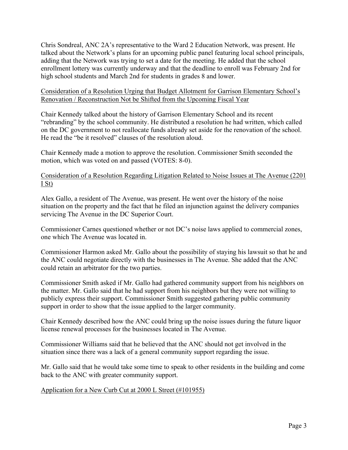Chris Sondreal, ANC 2A's representative to the Ward 2 Education Network, was present. He talked about the Network's plans for an upcoming public panel featuring local school principals, adding that the Network was trying to set a date for the meeting. He added that the school enrollment lottery was currently underway and that the deadline to enroll was February 2nd for high school students and March 2nd for students in grades 8 and lower.

### Consideration of a Resolution Urging that Budget Allotment for Garrison Elementary School's Renovation / Reconstruction Not be Shifted from the Upcoming Fiscal Year

Chair Kennedy talked about the history of Garrison Elementary School and its recent "rebranding" by the school community. He distributed a resolution he had written, which called on the DC government to not reallocate funds already set aside for the renovation of the school. He read the "be it resolved" clauses of the resolution aloud.

Chair Kennedy made a motion to approve the resolution. Commissioner Smith seconded the motion, which was voted on and passed (VOTES: 8-0).

## Consideration of a Resolution Regarding Litigation Related to Noise Issues at The Avenue (2201 I St)

Alex Gallo, a resident of The Avenue, was present. He went over the history of the noise situation on the property and the fact that he filed an injunction against the delivery companies servicing The Avenue in the DC Superior Court.

Commissioner Carnes questioned whether or not DC's noise laws applied to commercial zones, one which The Avenue was located in.

Commissioner Harmon asked Mr. Gallo about the possibility of staying his lawsuit so that he and the ANC could negotiate directly with the businesses in The Avenue. She added that the ANC could retain an arbitrator for the two parties.

Commissioner Smith asked if Mr. Gallo had gathered community support from his neighbors on the matter. Mr. Gallo said that he had support from his neighbors but they were not willing to publicly express their support. Commissioner Smith suggested gathering public community support in order to show that the issue applied to the larger community.

Chair Kennedy described how the ANC could bring up the noise issues during the future liquor license renewal processes for the businesses located in The Avenue.

Commissioner Williams said that he believed that the ANC should not get involved in the situation since there was a lack of a general community support regarding the issue.

Mr. Gallo said that he would take some time to speak to other residents in the building and come back to the ANC with greater community support.

### Application for a New Curb Cut at 2000 L Street (#101955)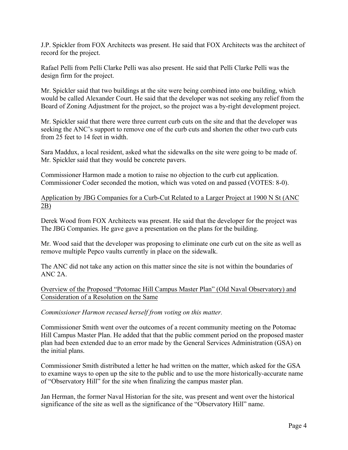J.P. Spickler from FOX Architects was present. He said that FOX Architects was the architect of record for the project.

Rafael Pelli from Pelli Clarke Pelli was also present. He said that Pelli Clarke Pelli was the design firm for the project.

Mr. Spickler said that two buildings at the site were being combined into one building, which would be called Alexander Court. He said that the developer was not seeking any relief from the Board of Zoning Adjustment for the project, so the project was a by-right development project.

Mr. Spickler said that there were three current curb cuts on the site and that the developer was seeking the ANC's support to remove one of the curb cuts and shorten the other two curb cuts from 25 feet to 14 feet in width.

Sara Maddux, a local resident, asked what the sidewalks on the site were going to be made of. Mr. Spickler said that they would be concrete pavers.

Commissioner Harmon made a motion to raise no objection to the curb cut application. Commissioner Coder seconded the motion, which was voted on and passed (VOTES: 8-0).

Application by JBG Companies for a Curb-Cut Related to a Larger Project at 1900 N St (ANC 2B)

Derek Wood from FOX Architects was present. He said that the developer for the project was The JBG Companies. He gave gave a presentation on the plans for the building.

Mr. Wood said that the developer was proposing to eliminate one curb cut on the site as well as remove multiple Pepco vaults currently in place on the sidewalk.

The ANC did not take any action on this matter since the site is not within the boundaries of ANC 2A.

Overview of the Proposed "Potomac Hill Campus Master Plan" (Old Naval Observatory) and Consideration of a Resolution on the Same

*Commissioner Harmon recused herself from voting on this matter.*

Commissioner Smith went over the outcomes of a recent community meeting on the Potomac Hill Campus Master Plan. He added that that the public comment period on the proposed master plan had been extended due to an error made by the General Services Administration (GSA) on the initial plans.

Commissioner Smith distributed a letter he had written on the matter, which asked for the GSA to examine ways to open up the site to the public and to use the more historically-accurate name of "Observatory Hill" for the site when finalizing the campus master plan.

Jan Herman, the former Naval Historian for the site, was present and went over the historical significance of the site as well as the significance of the "Observatory Hill" name.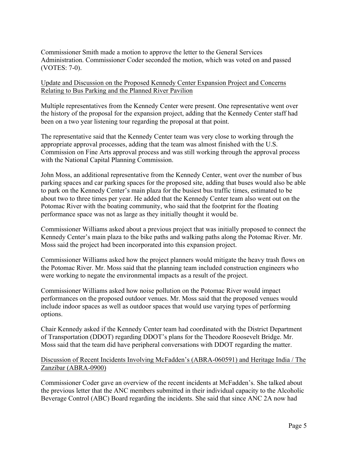Commissioner Smith made a motion to approve the letter to the General Services Administration. Commissioner Coder seconded the motion, which was voted on and passed (VOTES: 7-0).

## Update and Discussion on the Proposed Kennedy Center Expansion Project and Concerns Relating to Bus Parking and the Planned River Pavilion

Multiple representatives from the Kennedy Center were present. One representative went over the history of the proposal for the expansion project, adding that the Kennedy Center staff had been on a two year listening tour regarding the proposal at that point.

The representative said that the Kennedy Center team was very close to working through the appropriate approval processes, adding that the team was almost finished with the U.S. Commission on Fine Arts approval process and was still working through the approval process with the National Capital Planning Commission.

John Moss, an additional representative from the Kennedy Center, went over the number of bus parking spaces and car parking spaces for the proposed site, adding that buses would also be able to park on the Kennedy Center's main plaza for the busiest bus traffic times, estimated to be about two to three times per year. He added that the Kennedy Center team also went out on the Potomac River with the boating community, who said that the footprint for the floating performance space was not as large as they initially thought it would be.

Commissioner Williams asked about a previous project that was initially proposed to connect the Kennedy Center's main plaza to the bike paths and walking paths along the Potomac River. Mr. Moss said the project had been incorporated into this expansion project.

Commissioner Williams asked how the project planners would mitigate the heavy trash flows on the Potomac River. Mr. Moss said that the planning team included construction engineers who were working to negate the environmental impacts as a result of the project.

Commissioner Williams asked how noise pollution on the Potomac River would impact performances on the proposed outdoor venues. Mr. Moss said that the proposed venues would include indoor spaces as well as outdoor spaces that would use varying types of performing options.

Chair Kennedy asked if the Kennedy Center team had coordinated with the District Department of Transportation (DDOT) regarding DDOT's plans for the Theodore Roosevelt Bridge. Mr. Moss said that the team did have peripheral conversations with DDOT regarding the matter.

## Discussion of Recent Incidents Involving McFadden's (ABRA-060591) and Heritage India / The Zanzibar (ABRA-0900)

Commissioner Coder gave an overview of the recent incidents at McFadden's. She talked about the previous letter that the ANC members submitted in their individual capacity to the Alcoholic Beverage Control (ABC) Board regarding the incidents. She said that since ANC 2A now had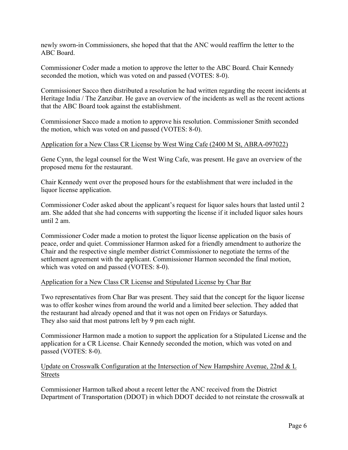newly sworn-in Commissioners, she hoped that that the ANC would reaffirm the letter to the ABC Board.

Commissioner Coder made a motion to approve the letter to the ABC Board. Chair Kennedy seconded the motion, which was voted on and passed (VOTES: 8-0).

Commissioner Sacco then distributed a resolution he had written regarding the recent incidents at Heritage India / The Zanzibar. He gave an overview of the incidents as well as the recent actions that the ABC Board took against the establishment.

Commissioner Sacco made a motion to approve his resolution. Commissioner Smith seconded the motion, which was voted on and passed (VOTES: 8-0).

### Application for a New Class CR License by West Wing Cafe (2400 M St, ABRA-097022)

Gene Cynn, the legal counsel for the West Wing Cafe, was present. He gave an overview of the proposed menu for the restaurant.

Chair Kennedy went over the proposed hours for the establishment that were included in the liquor license application.

Commissioner Coder asked about the applicant's request for liquor sales hours that lasted until 2 am. She added that she had concerns with supporting the license if it included liquor sales hours until 2 am.

Commissioner Coder made a motion to protest the liquor license application on the basis of peace, order and quiet. Commissioner Harmon asked for a friendly amendment to authorize the Chair and the respective single member district Commissioner to negotiate the terms of the settlement agreement with the applicant. Commissioner Harmon seconded the final motion, which was voted on and passed (VOTES: 8-0).

### Application for a New Class CR License and Stipulated License by Char Bar

Two representatives from Char Bar was present. They said that the concept for the liquor license was to offer kosher wines from around the world and a limited beer selection. They added that the restaurant had already opened and that it was not open on Fridays or Saturdays. They also said that most patrons left by 9 pm each night.

Commissioner Harmon made a motion to support the application for a Stipulated License and the application for a CR License. Chair Kennedy seconded the motion, which was voted on and passed (VOTES: 8-0).

## Update on Crosswalk Configuration at the Intersection of New Hampshire Avenue, 22nd & L Streets

Commissioner Harmon talked about a recent letter the ANC received from the District Department of Transportation (DDOT) in which DDOT decided to not reinstate the crosswalk at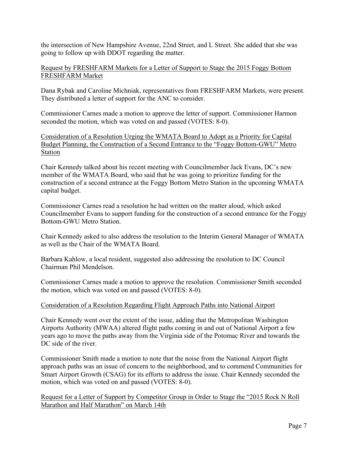the intersection of New Hampshire Avenue, 22nd Street, and L Street. She added that she was going to follow up with DDOT regarding the matter.

## Request by FRESHFARM Markets for a Letter of Support to Stage the 2015 Foggy Bottom FRESHFARM Market

Dana Rybak and Caroline Michniak, representatives from FRESHFARM Markets, were present. They distributed a letter of support for the ANC to consider.

Commissioner Carnes made a motion to approve the letter of support. Commissioner Harmon seconded the motion, which was voted on and passed (VOTES: 8-0).

Consideration of a Resolution Urging the WMATA Board to Adopt as a Priority for Capital Budget Planning, the Construction of a Second Entrance to the "Foggy Bottom-GWU" Metro Station

Chair Kennedy talked about his recent meeting with Councilmember Jack Evans, DC's new member of the WMATA Board, who said that he was going to prioritize funding for the construction of a second entrance at the Foggy Bottom Metro Station in the upcoming WMATA capital budget.

Commissioner Carnes read a resolution he had written on the matter aloud, which asked Councilmember Evans to support funding for the construction of a second entrance for the Foggy Bottom-GWU Metro Station.

Chair Kennedy asked to also address the resolution to the Interim General Manager of WMATA as well as the Chair of the WMATA Board.

Barbara Kahlow, a local resident, suggested also addressing the resolution to DC Council Chairman Phil Mendelson.

Commissioner Carnes made a motion to approve the resolution. Commissioner Smith seconded the motion, which was voted on and passed (VOTES: 8-0).

# Consideration of a Resolution Regarding Flight Approach Paths into National Airport

Chair Kennedy went over the extent of the issue, adding that the Metropolitan Washington Airports Authority (MWAA) altered flight paths coming in and out of National Airport a few years ago to move the paths away from the Virginia side of the Potomac River and towards the DC side of the river.

Commissioner Smith made a motion to note that the noise from the National Airport flight approach paths was an issue of concern to the neighborhood, and to commend Communities for Smart Airport Growth (CSAG) for its efforts to address the issue. Chair Kennedy seconded the motion, which was voted on and passed (VOTES: 8-0).

Request for a Letter of Support by Competitor Group in Order to Stage the "2015 Rock N Roll Marathon and Half Marathon" on March 14th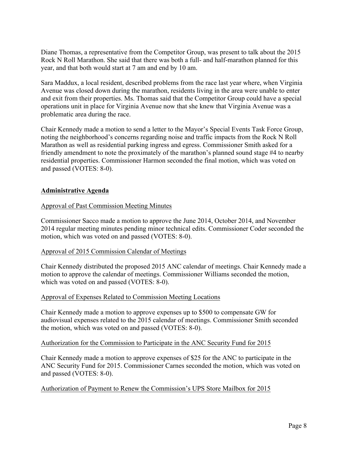Diane Thomas, a representative from the Competitor Group, was present to talk about the 2015 Rock N Roll Marathon. She said that there was both a full- and half-marathon planned for this year, and that both would start at 7 am and end by 10 am.

Sara Maddux, a local resident, described problems from the race last year where, when Virginia Avenue was closed down during the marathon, residents living in the area were unable to enter and exit from their properties. Ms. Thomas said that the Competitor Group could have a special operations unit in place for Virginia Avenue now that she knew that Virginia Avenue was a problematic area during the race.

Chair Kennedy made a motion to send a letter to the Mayor's Special Events Task Force Group, noting the neighborhood's concerns regarding noise and traffic impacts from the Rock N Roll Marathon as well as residential parking ingress and egress. Commissioner Smith asked for a friendly amendment to note the proximately of the marathon's planned sound stage #4 to nearby residential properties. Commissioner Harmon seconded the final motion, which was voted on and passed (VOTES: 8-0).

## **Administrative Agenda**

### Approval of Past Commission Meeting Minutes

Commissioner Sacco made a motion to approve the June 2014, October 2014, and November 2014 regular meeting minutes pending minor technical edits. Commissioner Coder seconded the motion, which was voted on and passed (VOTES: 8-0).

### Approval of 2015 Commission Calendar of Meetings

Chair Kennedy distributed the proposed 2015 ANC calendar of meetings. Chair Kennedy made a motion to approve the calendar of meetings. Commissioner Williams seconded the motion, which was voted on and passed (VOTES: 8-0).

### Approval of Expenses Related to Commission Meeting Locations

Chair Kennedy made a motion to approve expenses up to \$500 to compensate GW for audiovisual expenses related to the 2015 calendar of meetings. Commissioner Smith seconded the motion, which was voted on and passed (VOTES: 8-0).

### Authorization for the Commission to Participate in the ANC Security Fund for 2015

Chair Kennedy made a motion to approve expenses of \$25 for the ANC to participate in the ANC Security Fund for 2015. Commissioner Carnes seconded the motion, which was voted on and passed (VOTES: 8-0).

### Authorization of Payment to Renew the Commission's UPS Store Mailbox for 2015